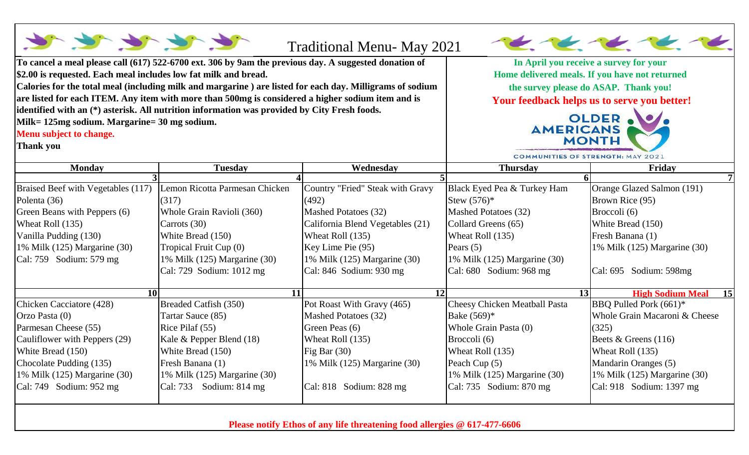| To cancel a meal please call (617) 522-6700 ext. 306 by 9am the previous day. A suggested donation of<br>\$2.00 is requested. Each meal includes low fat milk and bread.<br>Calories for the total meal (including milk and margarine) are listed for each day. Milligrams of sodium<br>are listed for each ITEM. Any item with more than 500mg is considered a higher sodium item and is<br>identified with an (*) asterisk. All nutrition information was provided by City Fresh foods.<br>Milk= 125mg sodium. Margarine= 30 mg sodium.<br>Menu subject to change.<br>Thank you |                                         | <b>Traditional Menu- May 2021</b><br>In April you receive a survey for your<br>Home delivered meals. If you have not returned<br>the survey please do ASAP. Thank you!<br>Your feedback helps us to serve you better!<br>OLDER . O<br><b>AMERICANS</b><br><b>MONTH</b><br>COMMUNITIES OF STRENGTH: MAY 2021 |                                              |                                                  |
|-----------------------------------------------------------------------------------------------------------------------------------------------------------------------------------------------------------------------------------------------------------------------------------------------------------------------------------------------------------------------------------------------------------------------------------------------------------------------------------------------------------------------------------------------------------------------------------|-----------------------------------------|-------------------------------------------------------------------------------------------------------------------------------------------------------------------------------------------------------------------------------------------------------------------------------------------------------------|----------------------------------------------|--------------------------------------------------|
| <b>Monday</b>                                                                                                                                                                                                                                                                                                                                                                                                                                                                                                                                                                     | <b>Tuesday</b>                          | Wednesday                                                                                                                                                                                                                                                                                                   | <b>Thursday</b>                              | Friday                                           |
|                                                                                                                                                                                                                                                                                                                                                                                                                                                                                                                                                                                   |                                         |                                                                                                                                                                                                                                                                                                             |                                              |                                                  |
| Braised Beef with Vegetables (117)<br>Polenta (36)                                                                                                                                                                                                                                                                                                                                                                                                                                                                                                                                | Lemon Ricotta Parmesan Chicken<br>(317) | Country "Fried" Steak with Gravy<br>(492)                                                                                                                                                                                                                                                                   | Black Eyed Pea & Turkey Ham<br>Stew $(576)*$ | Orange Glazed Salmon (191)<br>Brown Rice (95)    |
| Green Beans with Peppers (6)                                                                                                                                                                                                                                                                                                                                                                                                                                                                                                                                                      | Whole Grain Ravioli (360)               | Mashed Potatoes (32)                                                                                                                                                                                                                                                                                        | Mashed Potatoes (32)                         | Broccoli (6)                                     |
| Wheat Roll (135)                                                                                                                                                                                                                                                                                                                                                                                                                                                                                                                                                                  | Carrots (30)                            | California Blend Vegetables (21)                                                                                                                                                                                                                                                                            | Collard Greens (65)                          | White Bread (150)                                |
| Vanilla Pudding (130)                                                                                                                                                                                                                                                                                                                                                                                                                                                                                                                                                             | White Bread (150)                       | Wheat Roll (135)                                                                                                                                                                                                                                                                                            | Wheat Roll (135)                             | Fresh Banana (1)                                 |
| 1% Milk $(125)$ Margarine $(30)$                                                                                                                                                                                                                                                                                                                                                                                                                                                                                                                                                  | Tropical Fruit Cup (0)                  | Key Lime Pie (95)                                                                                                                                                                                                                                                                                           | Pears $(5)$                                  | 1% Milk (125) Margarine (30)                     |
| Cal: 759 Sodium: 579 mg                                                                                                                                                                                                                                                                                                                                                                                                                                                                                                                                                           | 1% Milk (125) Margarine (30)            | 1% Milk (125) Margarine (30)                                                                                                                                                                                                                                                                                | 1% Milk (125) Margarine (30)                 |                                                  |
|                                                                                                                                                                                                                                                                                                                                                                                                                                                                                                                                                                                   | Cal: 729 Sodium: 1012 mg                | Cal: $846$ Sodium: $930$ mg                                                                                                                                                                                                                                                                                 | Cal: $680$ Sodium: $968$ mg                  | Cal: 695 Sodium: 598mg                           |
| <b>10</b>                                                                                                                                                                                                                                                                                                                                                                                                                                                                                                                                                                         | 11                                      | 12                                                                                                                                                                                                                                                                                                          |                                              | <b>High Sodium Meal</b><br>13 <sup>l</sup><br>15 |
| Chicken Cacciatore (428)                                                                                                                                                                                                                                                                                                                                                                                                                                                                                                                                                          | <b>Breaded Catfish (350)</b>            | Pot Roast With Gravy (465)                                                                                                                                                                                                                                                                                  | <b>Cheesy Chicken Meatball Pasta</b>         | BBQ Pulled Pork (661)*                           |
| Orzo Pasta (0)                                                                                                                                                                                                                                                                                                                                                                                                                                                                                                                                                                    | Tartar Sauce (85)                       | Mashed Potatoes (32)                                                                                                                                                                                                                                                                                        | Bake $(569)*$                                | Whole Grain Macaroni & Cheese                    |
| Parmesan Cheese (55)                                                                                                                                                                                                                                                                                                                                                                                                                                                                                                                                                              | Rice Pilaf (55)                         | Green Peas (6)                                                                                                                                                                                                                                                                                              | Whole Grain Pasta (0)                        | (325)                                            |
| Cauliflower with Peppers (29)                                                                                                                                                                                                                                                                                                                                                                                                                                                                                                                                                     | Kale & Pepper Blend (18)                | Wheat Roll (135)                                                                                                                                                                                                                                                                                            | Broccoli (6)                                 | Beets $&$ Greens (116)                           |
| White Bread (150)                                                                                                                                                                                                                                                                                                                                                                                                                                                                                                                                                                 | White Bread (150)                       | Fig Bar $(30)$                                                                                                                                                                                                                                                                                              | Wheat Roll (135)                             | Wheat Roll (135)                                 |
| Chocolate Pudding (135)                                                                                                                                                                                                                                                                                                                                                                                                                                                                                                                                                           | Fresh Banana (1)                        | 1% Milk (125) Margarine (30)                                                                                                                                                                                                                                                                                | Peach Cup (5)                                | Mandarin Oranges (5)                             |
| 1% Milk $(125)$ Margarine $(30)$                                                                                                                                                                                                                                                                                                                                                                                                                                                                                                                                                  | 1% Milk (125) Margarine (30)            |                                                                                                                                                                                                                                                                                                             | 1% Milk (125) Margarine (30)                 | 1% Milk (125) Margarine (30)                     |
| Cal: 749 Sodium: 952 mg                                                                                                                                                                                                                                                                                                                                                                                                                                                                                                                                                           | Cal: 733 Sodium: 814 mg                 | $\vert$ Cal: 818 Sodium: 828 mg                                                                                                                                                                                                                                                                             | Cal: 735 Sodium: 870 mg                      | Cal: 918 Sodium: 1397 mg                         |

 $\Gamma$ 

**Please notify Ethos of any life threatening food allergies @ 617-477-6606**